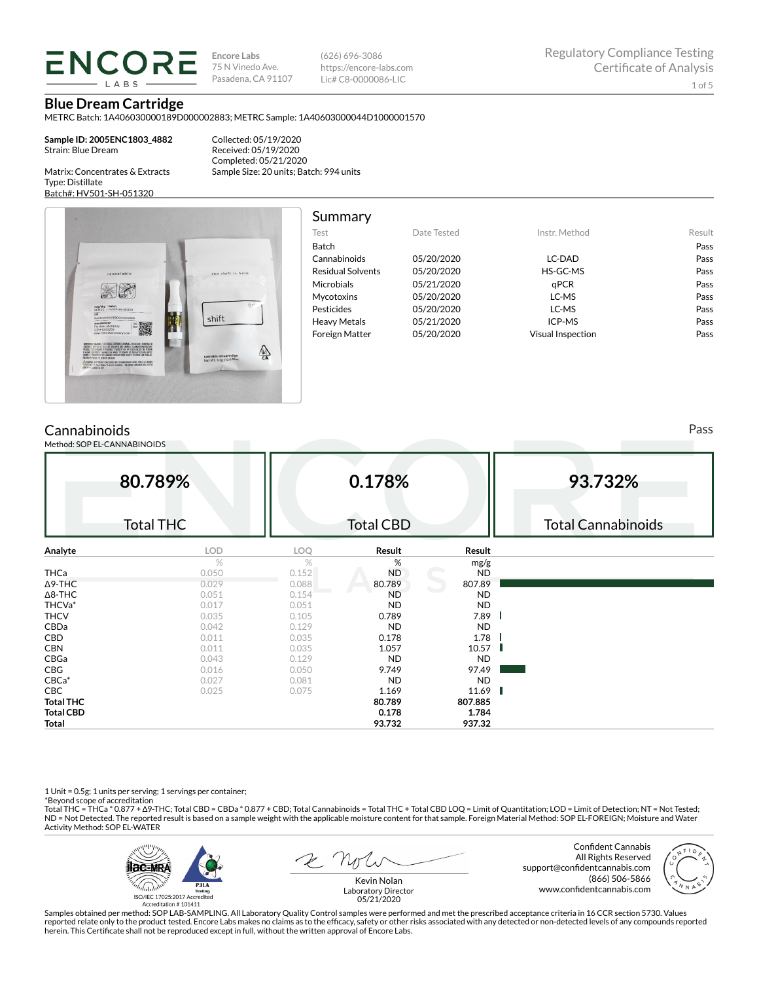**ENCORE** 

**Encore Labs** 75 N Vinedo Ave. Pasadena, CA 91107

(626) 696-3086 https://encore-labs.com Lic# C8-0000086-LIC

**Blue Dream Cartridge**

METRC Batch: 1A406030000189D000002883; METRC Sample: 1A40603000044D1000001570

**Sample ID: 2005ENC1803\_4882** Strain: Blue Dream

Collected: 05/19/2020

Matrix: Concentrates & Extracts Type: Distillate Batch#: HV501-SH-051320

Received: 05/19/2020 Completed: 05/21/2020 Sample Size: 20 units; Batch: 994 units



| Summary                  |             |                   |        |
|--------------------------|-------------|-------------------|--------|
| Test                     | Date Tested | Instr. Method     | Result |
| Batch                    |             |                   | Pass   |
| Cannabinoids             | 05/20/2020  | LC-DAD            | Pass   |
| <b>Residual Solvents</b> | 05/20/2020  | HS-GC-MS          | Pass   |
| Microbials               | 05/21/2020  | aPCR              | Pass   |
| <b>Mycotoxins</b>        | 05/20/2020  | LC-MS             | Pass   |
| Pesticides               | 05/20/2020  | LC-MS             | Pass   |
| <b>Heavy Metals</b>      | 05/21/2020  | ICP-MS            | Pass   |
| <b>Foreign Matter</b>    | 05/20/2020  | Visual Inspection | Pass   |

# **Cannabinoids**

Method: SOP EL-CANNABINOIDS

**80.789%** Total THC **0.178%** Total CBD **93.732%** Total Cannabinoids **Analyte LOD LOQ Result Result** %  $\%$  mg/g **THCa** 0.050 0.152 ND ND ND Δ9-THC 0.029 0.029 0.088 80.789 807.89  $\Delta$ 8-THC ND ND THCVa\* 0.017 0.051 ND ND THCV 0.035 0.105 0.789 7.89 CBDa 0.042 0.129 ND ND **CBD** 0.011 0.035 **0.178 1.78 CBN** 0.011 0.035 **1.057 10.57** 10.57 CBGa 0.043 0.129 ND ND CBG 0.016 0.050 97.49 97.49 CBCa\* 0.027 0.081 ND ND **CBC** 0.025 0.075 **1.169 11.69 Total THC 80.789 807.885 Total CBD 0.178 1.784 Total 93.732 937.32**

1 Unit = 0.5g; 1 units per serving; 1 servings per container;

\*Beyond scope of accreditation<br>Total THC = THCa \* 0.877 + ∆9-THC; Total CBD = CBDa \* 0.877 + CBD; Total Cannabinoids = Total THC + Total CBD LOQ = Limit of Quantitation; LOD = Limit of Detection; NT = Not Tested; ND = Not Detected. The reported result is based on a sample weight with the applicable moisture content for that sample. Foreign Material Method: SOP EL-FOREIGN; Moisture and Water Activity Method: SOP EL-WATER



Confident Cannabis All Rights Reserved support@confidentcannabis.com (866) 506-5866 www.confidentcannabis.com



Kevin Nolan Laboratory Director 05/21/2020

Samples obtained per method: SOP LAB-SAMPLING. All Laboratory Quality Control samples were performed and met the prescribed acceptance criteria in 16 CCR section 5730. Values reported relate only to the product tested. Encore Labs makes no claims as to the efficacy, safety or other risks associated with any detected or non-detected levels of any compounds reported<br>herein. This Certificate shall

Pass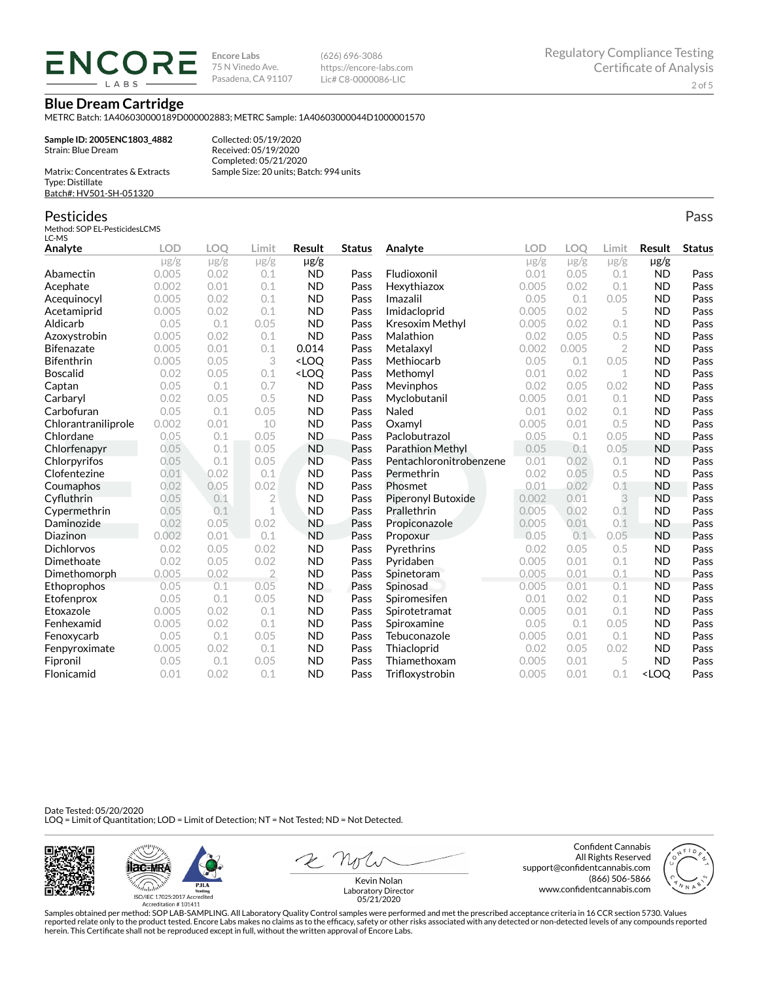**ENCORE IARS** 

**Encore Labs** 75 N Vinedo Ave. Pasadena, CA 91107 (626) 696-3086 https://encore-labs.com Lic# C8-0000086-LIC

**Blue Dream Cartridge**

METRC Batch: 1A406030000189D000002883; METRC Sample: 1A40603000044D1000001570

**Sample ID: 2005ENC1803\_4882** Strain: Blue Dream Matrix: Concentrates & Extracts

Collected: 05/19/2020 Received: 05/19/2020 Completed: 05/21/2020 Sample Size: 20 units; Batch: 994 units

Type: Distillate Batch#: HV501-SH-051320

### Pesticides

Method: SOP EL-PesticidesLCMS LC-MS

**Analyte LOD LOQ Limit Result Status**  $\mu$ g/g  $\mu$ g/g  $\mu$ g/g  $\mu$ g/g Abamectin 0.005 0.02 0.1 ND Pass Acephate 0.002 0.01 0.1 ND Pass Acequinocyl 0.005 0.02 0.1 ND Pass Acetamiprid 0.005 0.02 0.1 ND Pass Aldicarb 0.05 0.1 0.05 ND Pass Azoxystrobin 0.005 0.02 0.1 ND Pass **Bifenazate** 0.005 0.01 0.1 **0.014 Pass** Bifenthrin 0.005 0.05 3 <LOQ Pass Boscalid 0.02 0.05 0.1 <LOQ Pass **Captan 12.1 0.05 0.1 0.7 ND Pass** Carbaryl 0.02 0.05 0.5 ND Pass Carbofuran 0.05 0.1 0.05 ND Pass Chlorantraniliprole 0.002 0.01 10 ND Pass Chlordane 0.05 0.1 0.05 ND Pass Chlorfenapyr 0.05 0.1 0.05 ND Pass Chlorpyrifos 0.05 0.1 0.05 ND Pass Clofentezine 0.01 0.02 0.1 ND Pass Coumaphos 0.02 0.05 0.02 ND Pass Cyfluthrin 0.05 0.1 2 ND Pass Cypermethrin 0.05 0.1 1 ND Pass Daminozide 0.02 0.05 0.02 ND Pass **Diazinon** 0.002 0.01 0.1 ND Pass Dichlorvos 0.02 0.05 0.02 ND Pass Dimethoate 0.02 0.05 0.02 ND Pass Dimethomorph 0.005 0.02 2 ND Pass Ethoprophos 0.05 0.1 0.05 ND Pass Etofenprox 0.05 0.1 0.05 ND Pass Etoxazole 0.005 0.02 0.1 ND Pass Fenhexamid 0.005 0.02 0.1 ND Pass Fenoxycarb 0.05 0.1 0.05 ND Pass Fenpyroximate 0.005 0.02 0.1 ND Pass Fipronil 0.05 0.1 0.05 ND Pass Flonicamid 0.01 0.02 0.1 ND Pass **Analyte LOD LOQ Limit Result Status**  $\mu$ g/g  $\mu$ g/g  $\mu$ g/g  $\mu$ g/g Fludioxonil 0.01 0.05 0.1 ND Pass Hexythiazox 0.005 0.02 0.1 ND Pass **Imazalil 11 0.05 0.1 0.05 ND Pass** Imidacloprid 0.005 0.02 5 ND Pass Kresoxim Methyl  $0.005$  0.02 0.1 ND Pass **Malathion** 0.02 0.05 0.5 **ND Pass** Metalaxyl 0.002 0.005 2 ND Pass Methiocarb 0.05 0.1 0.05 ND Pass **Methomyl** 0.01 0.02 1 **ND Pass** Mevinphos 0.02 0.05 0.02 ND Pass Myclobutanil 0.005 0.01 0.1 ND Pass **Naled 1200 0.01 0.02 0.1 ND Pass Oxamyl** 0.005 0.01 0.5 **ND Pass** Paclobutrazol 0.05 0.1 0.05 ND Pass Parathion Methyl 0.05 0.1 0.05 ND Pass Pentachloronitrobenzene 0.01 0.02 0.1 ND Pass Permethrin 0.02 0.05 0.5 ND Pass Phosmet 0.01 0.02 0.1 ND Pass Piperonyl Butoxide 0.002 0.01 3 ND Pass Prallethrin 0.005 0.02 0.1 ND Pass Propiconazole 0.005 0.01 0.1 ND Pass **Propoxur 1988 0.05 0.1 0.05 ND Pass Pyrethrins 0.02 0.05 0.5 ND Pass Pyridaben 1988 0.005 0.01 0.1 ND Pass Spinetoram 0.005 0.01 0.1 ND Pass** Spinosad 0.005 0.01 0.1 ND Pass Spiromesifen 0.01 0.02 0.1 ND Pass Spirotetramat 0.005 0.01 0.1 ND Pass Spiroxamine 0.05 0.1 0.05 ND Pass Tebuconazole 0.005 0.01 0.1 ND Pass Thiacloprid 0.02 0.05 0.02 ND Pass Thiamethoxam 0.005 0.01 5 ND Pass Trifloxystrobin 0.005 0.01 0.1 <LOQ Pass

Date Tested: 05/20/2020 LOQ = Limit of Quantitation; LOD = Limit of Detection; NT = Not Tested; ND = Not Detected.



**ilac-MRA P.ILA** أيطيبك ISO/IEC 17025:2017 Ac

Accreditation #101411

Z Nolw

Confident Cannabis All Rights Reserved support@confidentcannabis.com (866) 506-5866 www.confidentcannabis.com



Kevin Nolan Laboratory Director 05/21/2020

Samples obtained per method: SOP LAB-SAMPLING. All Laboratory Quality Control samples were performed and met the prescribed acceptance criteria in 16 CCR section 5730. Values reported relate only to the product tested. Encore Labs makes no claims as to the efficacy, safety or other risks associated with any detected or non-detected levels of any compounds reported herein. This Certificate shall not be reproduced except in full, without the written approval of Encore Labs.

Pass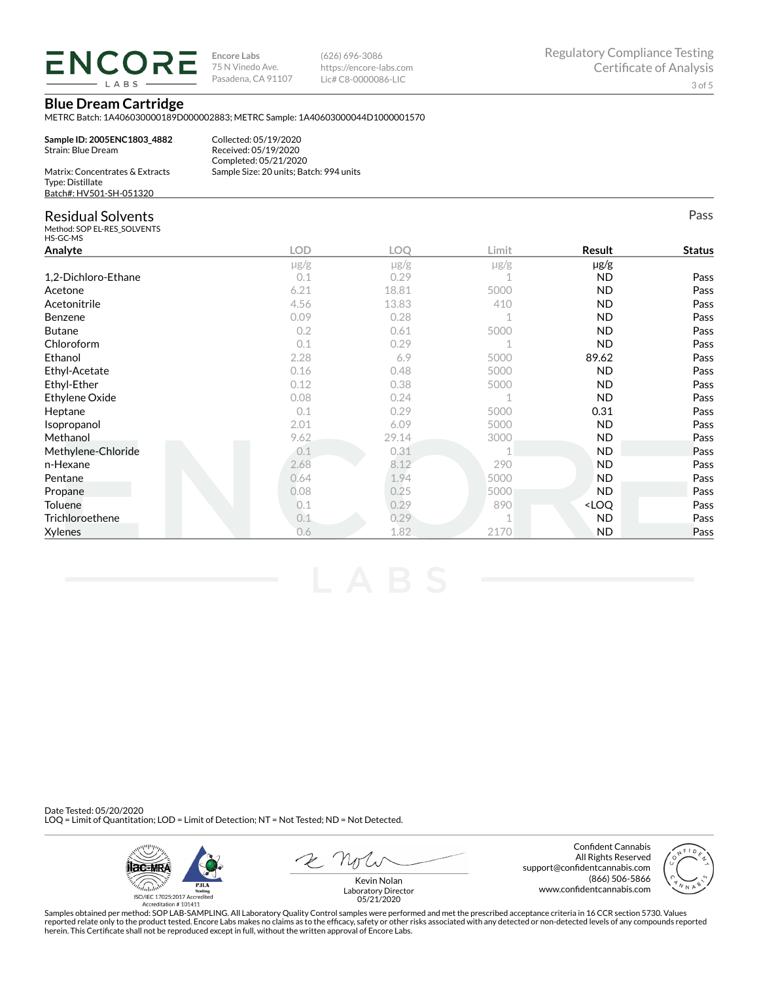

**Sample ID: 2005ENC1803\_4882**

**Encore Labs** 75 N Vinedo Ave. Pasadena, CA 91107 (626) 696-3086 https://encore-labs.com Lic# C8-0000086-LIC

Pass

# **Blue Dream Cartridge**

METRC Batch: 1A406030000189D000002883; METRC Sample: 1A40603000044D1000001570

| Sample ID: 2005ENC1803 4882<br>Strain: Blue Dream   |  |
|-----------------------------------------------------|--|
| Matrix: Concentrates & Extracts<br>Tyne: Distillate |  |

Collected: 05/19/2020 Received: 05/19/2020 Completed: 05/21/2020 Sample Size: 20 units; Batch: 994 units

| Matrix: Concentrates & Extracts |
|---------------------------------|
| Type: Distillate                |
| Batch#: HV501-SH-051320         |

# Residual Solvents

Method: SOP EL-RES\_SOLVENTS HS-GC-MS

| כויו-טט-כח          |            |            |           |                                  |               |
|---------------------|------------|------------|-----------|----------------------------------|---------------|
| Analyte             | <b>LOD</b> | <b>LOQ</b> | Limit     | Result                           | <b>Status</b> |
|                     | $\mu$ g/g  | $\mu$ g/g  | $\mu$ g/g | µg/g                             |               |
| 1,2-Dichloro-Ethane | 0.1        | 0.29       |           | <b>ND</b>                        | Pass          |
| Acetone             | 6.21       | 18.81      | 5000      | <b>ND</b>                        | Pass          |
| Acetonitrile        | 4.56       | 13.83      | 410       | ND.                              | Pass          |
| Benzene             | 0.09       | 0.28       |           | <b>ND</b>                        | Pass          |
| <b>Butane</b>       | 0.2        | 0.61       | 5000      | <b>ND</b>                        | Pass          |
| Chloroform          | 0.1        | 0.29       |           | <b>ND</b>                        | Pass          |
| Ethanol             | 2.28       | 6.9        | 5000      | 89.62                            | Pass          |
| Ethyl-Acetate       | 0.16       | 0.48       | 5000      | <b>ND</b>                        | Pass          |
| Ethyl-Ether         | 0.12       | 0.38       | 5000      | ND.                              | Pass          |
| Ethylene Oxide      | 0.08       | 0.24       |           | <b>ND</b>                        | Pass          |
| Heptane             | 0.1        | 0.29       | 5000      | 0.31                             | Pass          |
| Isopropanol         | 2.01       | 6.09       | 5000      | ND.                              | Pass          |
| Methanol            | 9.62       | 29.14      | 3000      | <b>ND</b>                        | Pass          |
| Methylene-Chloride  | 0.1        | 0.31       |           | <b>ND</b>                        | Pass          |
| n-Hexane            | 2.68       | 8.12       | 290       | <b>ND</b>                        | Pass          |
| Pentane             | 0.64       | 1.94       | 5000      | ND.                              | Pass          |
| Propane             | 0.08       | 0.25       | 5000      | ND.                              | Pass          |
| Toluene             | 0.1        | 0.29       | 890       | <loq< td=""><td>Pass</td></loq<> | Pass          |
| Trichloroethene     | 0.1        | 0.29       |           | <b>ND</b>                        | Pass          |
| <b>Xylenes</b>      | 0.6        | 1.82       | 2170      | <b>ND</b>                        | Pass          |

Date Tested: 05/20/2020 LOQ = Limit of Quantitation; LOD = Limit of Detection; NT = Not Tested; ND = Not Detected.



Confident Cannabis All Rights Reserved support@confidentcannabis.com (866) 506-5866 www.confidentcannabis.com



Kevin Nolan Laboratory Director 05/21/2020

Samples obtained per method: SOP LAB-SAMPLING. All Laboratory Quality Control samples were performed and met the prescribed acceptance criteria in 16 CCR section 5730. Values reported relate only to the product tested. Encore Labs makes no claims as to the efficacy, safety or other risks associated with any detected or non-detected levels of any compounds reported<br>herein. This Certificate shall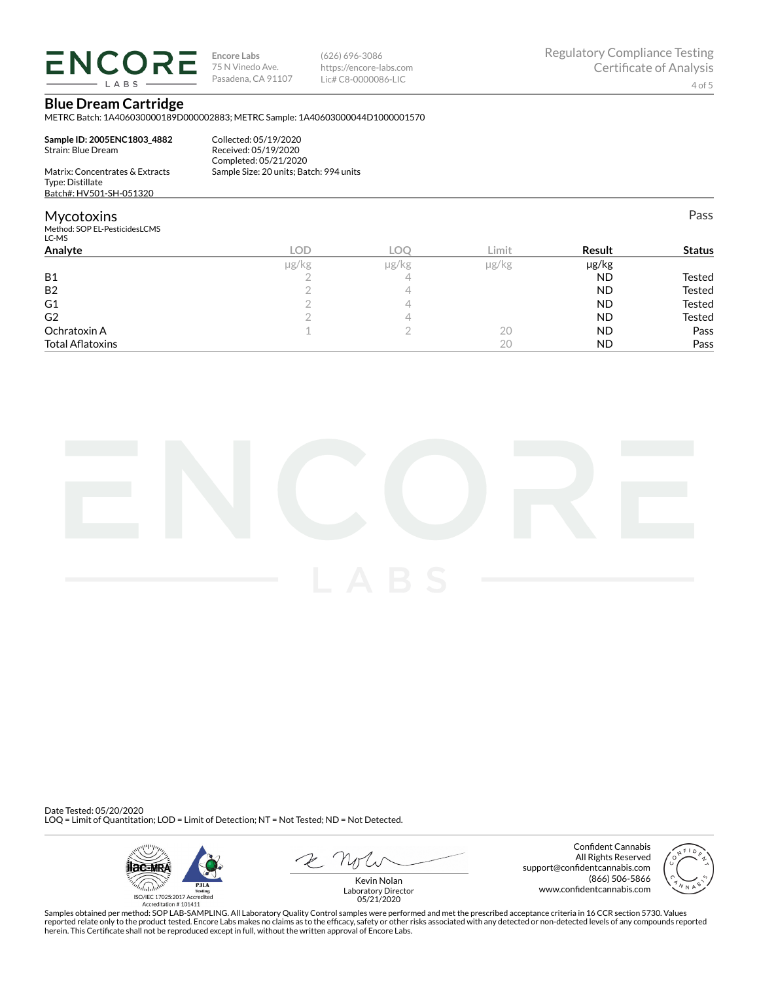

**Encore Labs** 75 N Vinedo Ave. Pasadena, CA 91107 (626) 696-3086 https://encore-labs.com Lic# C8-0000086-LIC

Pass

# **Blue Dream Cartridge**

METRC Batch: 1A406030000189D000002883; METRC Sample: 1A40603000044D1000001570

**Sample ID: 2005ENC1803\_4882** Strain: Blue Dream Matrix: Concentrates & Extracts

#### Collected: 05/19/2020 Received: 05/19/2020 Completed: 05/21/2020 Sample Size: 20 units; Batch: 994 units

# Type: Distillate Batch#: HV501-SH-051320

### **Mycotoxins**

Method: SOP EL-PesticidesLCMS LC-MS

| LC-MS                   |            |       |               |           |               |
|-------------------------|------------|-------|---------------|-----------|---------------|
| Analyte                 | <b>LOD</b> | LOC   | Limit         | Result    | <b>Status</b> |
|                         | µg/kg      | µg/kg | $\mu$ g/ $kg$ | µg/kg     |               |
| <b>B1</b>               |            | 4     |               | ND        | Tested        |
| <b>B2</b>               |            | 4     |               | <b>ND</b> | Tested        |
| G1                      |            | ∸     |               | <b>ND</b> | Tested        |
| G <sub>2</sub>          |            | ↵     |               | <b>ND</b> | Tested        |
| Ochratoxin A            |            |       | 20            | <b>ND</b> | Pass          |
| <b>Total Aflatoxins</b> |            |       | 20            | <b>ND</b> | Pass          |
|                         |            |       |               |           |               |



Date Tested: 05/20/2020 LOQ = Limit of Quantitation; LOD = Limit of Detection; NT = Not Tested; ND = Not Detected.



Confident Cannabis All Rights Reserved support@confidentcannabis.com (866) 506-5866 www.confidentcannabis.com



Kevin Nolan Laboratory Director 05/21/2020

Samples obtained per method: SOP LAB-SAMPLING. All Laboratory Quality Control samples were performed and met the prescribed acceptance criteria in 16 CCR section 5730. Values reported relate only to the product tested. Encore Labs makes no claims as to the efficacy, safety or other risks associated with any detected or non-detected levels of any compounds reported<br>herein. This Certificate shall